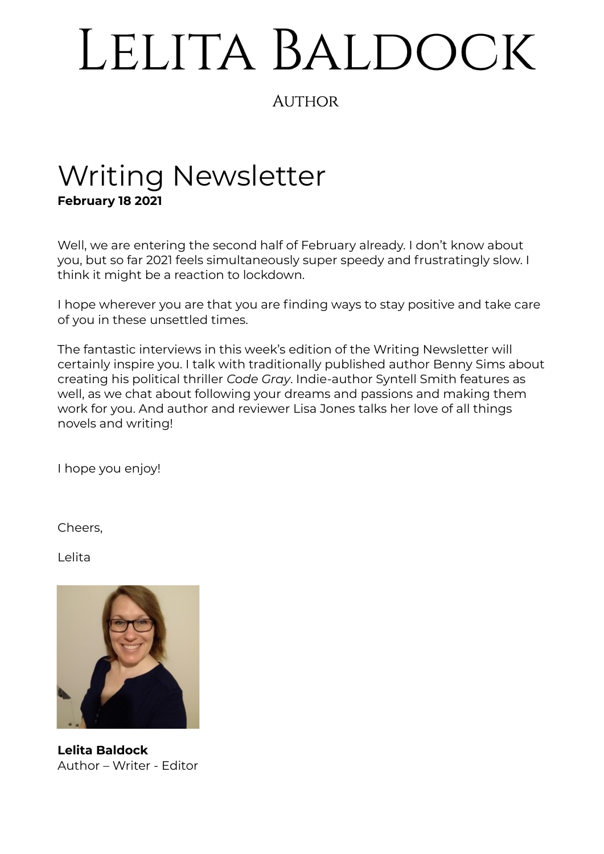# LELITA BALDOCK

## **AUTHOR**

# Writing Newsletter **February 18 2021**

Well, we are entering the second half of February already. I don't know about you, but so far 2021 feels simultaneously super speedy and frustratingly slow. I think it might be a reaction to lockdown.

I hope wherever you are that you are finding ways to stay positive and take care of you in these unsettled times.

The fantastic interviews in this week's edition of the Writing Newsletter will certainly inspire you. I talk with traditionally published author Benny Sims about creating his political thriller *Code Gray*. Indie-author Syntell Smith features as well, as we chat about following your dreams and passions and making them work for you. And author and reviewer Lisa Jones talks her love of all things novels and writing!

I hope you enjoy!

Cheers,

Lelita



**Lelita Baldock** Author – Writer - Editor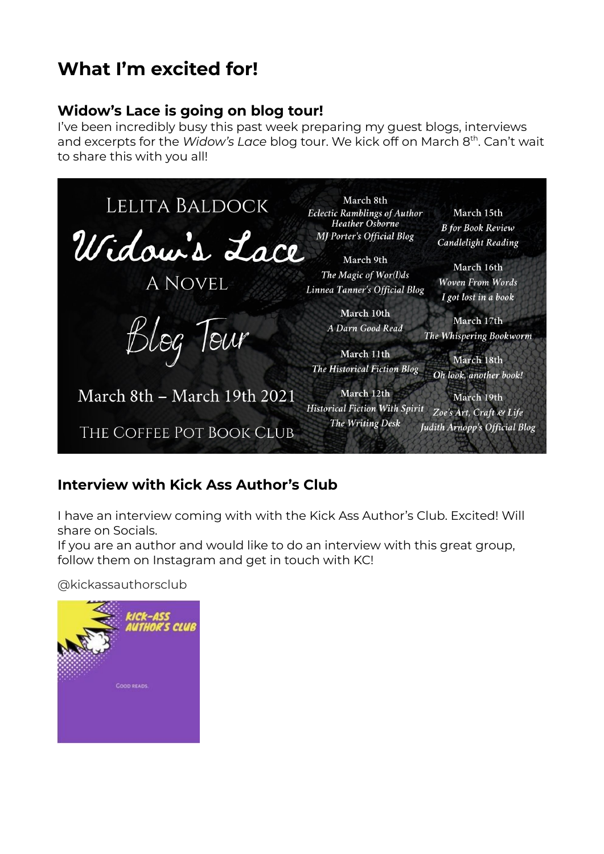# **What I'm excited for!**

## **Widow's Lace is going on blog tour!**

I've been incredibly busy this past week preparing my guest blogs, interviews and excerpts for the *Widow's Lace* blog tour. We kick off on March 8<sup>th</sup>. Can't wait to share this with you all!



## **Interview with Kick Ass Author's Club**

I have an interview coming with with the Kick Ass Author's Club. Excited! Will share on Socials.

If you are an author and would like to do an interview with this great group, follow them on Instagram and get in touch with KC!

@kickassauthorsclub

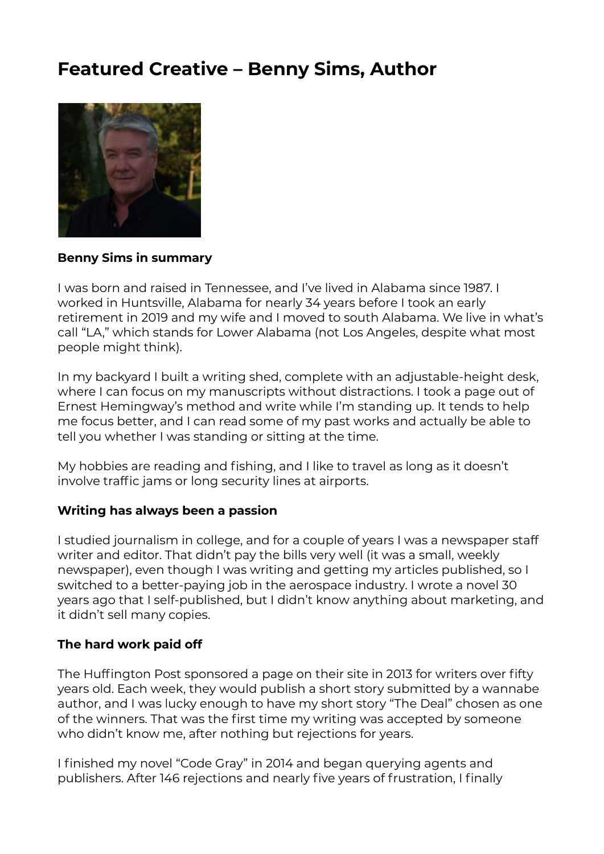## **Featured Creative – Benny Sims, Author**



#### **Benny Sims in summary**

I was born and raised in Tennessee, and I've lived in Alabama since 1987. I worked in Huntsville, Alabama for nearly 34 years before I took an early retirement in 2019 and my wife and I moved to south Alabama. We live in what's call "LA," which stands for Lower Alabama (not Los Angeles, despite what most people might think).

In my backyard I built a writing shed, complete with an adjustable-height desk, where I can focus on my manuscripts without distractions. I took a page out of Ernest Hemingway's method and write while I'm standing up. It tends to help me focus better, and I can read some of my past works and actually be able to tell you whether I was standing or sitting at the time.

My hobbies are reading and fishing, and I like to travel as long as it doesn't involve traffic jams or long security lines at airports.

#### **Writing has always been a passion**

I studied journalism in college, and for a couple of years I was a newspaper staff writer and editor. That didn't pay the bills very well (it was a small, weekly newspaper), even though I was writing and getting my articles published, so I switched to a better-paying job in the aerospace industry. I wrote a novel 30 years ago that I self-published, but I didn't know anything about marketing, and it didn't sell many copies.

#### **The hard work paid off**

The Huffington Post sponsored a page on their site in 2013 for writers over fifty years old. Each week, they would publish a short story submitted by a wannabe author, and I was lucky enough to have my short story "The Deal" chosen as one of the winners. That was the first time my writing was accepted by someone who didn't know me, after nothing but rejections for years.

I finished my novel "Code Gray" in 2014 and began querying agents and publishers. After 146 rejections and nearly five years of frustration, I finally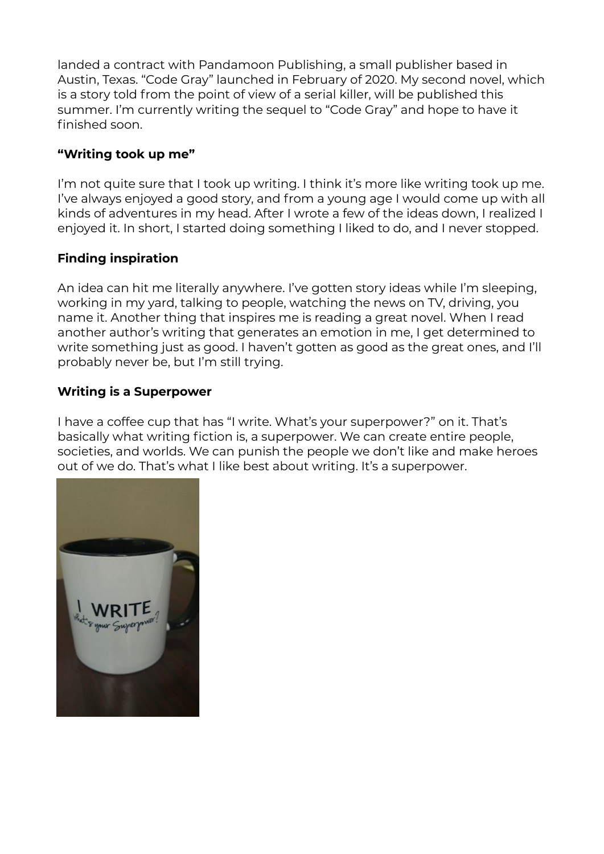landed a contract with Pandamoon Publishing, a small publisher based in Austin, Texas. "Code Gray" launched in February of 2020. My second novel, which is a story told from the point of view of a serial killer, will be published this summer. I'm currently writing the sequel to "Code Gray" and hope to have it finished soon.

#### **"Writing took up me"**

I'm not quite sure that I took up writing. I think it's more like writing took up me. I've always enjoyed a good story, and from a young age I would come up with all kinds of adventures in my head. After I wrote a few of the ideas down, I realized I enjoyed it. In short, I started doing something I liked to do, and I never stopped.

#### **Finding inspiration**

An idea can hit me literally anywhere. I've gotten story ideas while I'm sleeping, working in my yard, talking to people, watching the news on TV, driving, you name it. Another thing that inspires me is reading a great novel. When I read another author's writing that generates an emotion in me, I get determined to write something just as good. I haven't gotten as good as the great ones, and I'll probably never be, but I'm still trying.

#### **Writing is a Superpower**

I have a coffee cup that has "I write. What's your superpower?" on it. That's basically what writing fiction is, a superpower. We can create entire people, societies, and worlds. We can punish the people we don't like and make heroes out of we do. That's what I like best about writing. It's a superpower.

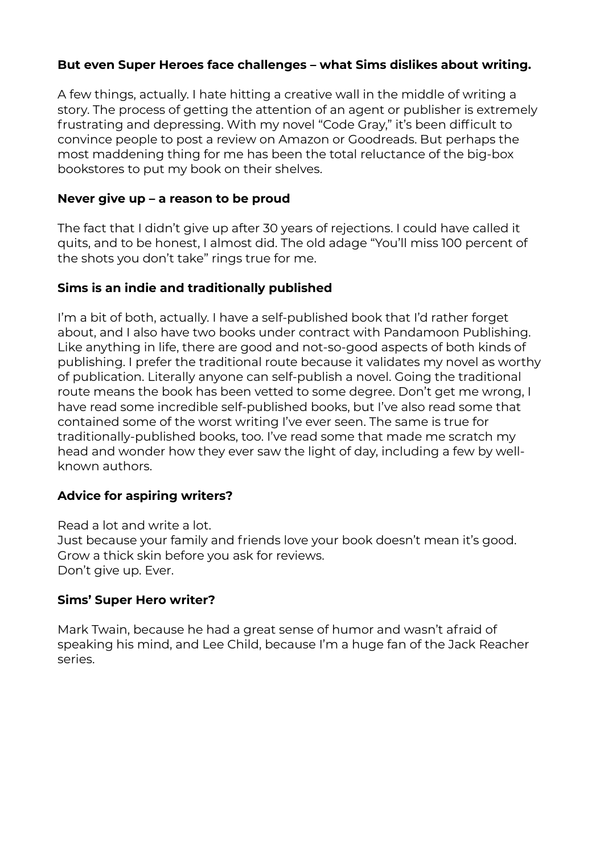#### **But even Super Heroes face challenges – what Sims dislikes about writing.**

A few things, actually. I hate hitting a creative wall in the middle of writing a story. The process of getting the attention of an agent or publisher is extremely frustrating and depressing. With my novel "Code Gray," it's been difficult to convince people to post a review on Amazon or Goodreads. But perhaps the most maddening thing for me has been the total reluctance of the big-box bookstores to put my book on their shelves.

#### **Never give up – a reason to be proud**

The fact that I didn't give up after 30 years of rejections. I could have called it quits, and to be honest, I almost did. The old adage "You'll miss 100 percent of the shots you don't take" rings true for me.

#### **Sims is an indie and traditionally published**

I'm a bit of both, actually. I have a self-published book that I'd rather forget about, and I also have two books under contract with Pandamoon Publishing. Like anything in life, there are good and not-so-good aspects of both kinds of publishing. I prefer the traditional route because it validates my novel as worthy of publication. Literally anyone can self-publish a novel. Going the traditional route means the book has been vetted to some degree. Don't get me wrong, I have read some incredible self-published books, but I've also read some that contained some of the worst writing I've ever seen. The same is true for traditionally-published books, too. I've read some that made me scratch my head and wonder how they ever saw the light of day, including a few by wellknown authors.

#### **Advice for aspiring writers?**

Read a lot and write a lot. Just because your family and friends love your book doesn't mean it's good. Grow a thick skin before you ask for reviews. Don't give up. Ever.

#### **Sims' Super Hero writer?**

Mark Twain, because he had a great sense of humor and wasn't afraid of speaking his mind, and Lee Child, because I'm a huge fan of the Jack Reacher series.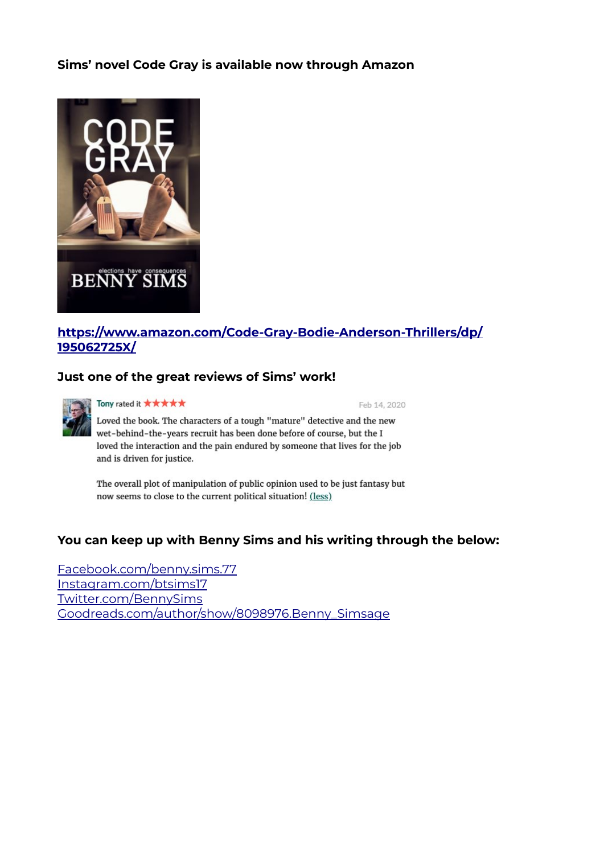#### **Sims' novel Code Gray is available now through Amazon**



#### **[https://www.amazon.com/Code-Gray-Bodie-Anderson-Thrillers/dp/](https://www.amazon.com/Code-Gray-Bodie-Anderson-Thrillers/dp/195062725X/) [195062725X/](https://www.amazon.com/Code-Gray-Bodie-Anderson-Thrillers/dp/195062725X/)**

#### **Just one of the great reviews of Sims' work!**



Tony rated it \*\*\*\*\*

Feb 14, 2020

Loved the book. The characters of a tough "mature" detective and the new wet-behind-the-years recruit has been done before of course, but the I loved the interaction and the pain endured by someone that lives for the job and is driven for justice.

The overall plot of manipulation of public opinion used to be just fantasy but now seems to close to the current political situation! (less)

#### **You can keep up with Benny Sims and his writing through the below:**

Facebook.com/benny.sims.77 Instagram.com/btsims17 Twitter.com/BennySims Goodreads.com/author/show/8098976.Benny\_Simsage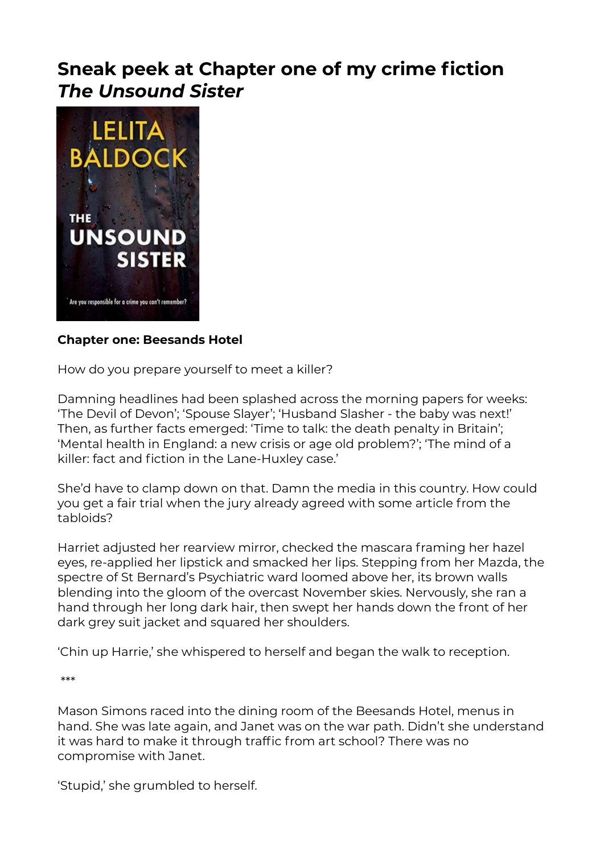## **Sneak peek at Chapter one of my crime fiction**  *The Unsound Sister*



#### **Chapter one: Beesands Hotel**

How do you prepare yourself to meet a killer?

Damning headlines had been splashed across the morning papers for weeks: 'The Devil of Devon'; 'Spouse Slayer'; 'Husband Slasher - the baby was next!' Then, as further facts emerged: 'Time to talk: the death penalty in Britain'; 'Mental health in England: a new crisis or age old problem?'; 'The mind of a killer: fact and fiction in the Lane-Huxley case.'

She'd have to clamp down on that. Damn the media in this country. How could you get a fair trial when the jury already agreed with some article from the tabloids?

Harriet adjusted her rearview mirror, checked the mascara framing her hazel eyes, re-applied her lipstick and smacked her lips. Stepping from her Mazda, the spectre of St Bernard's Psychiatric ward loomed above her, its brown walls blending into the gloom of the overcast November skies. Nervously, she ran a hand through her long dark hair, then swept her hands down the front of her dark grey suit jacket and squared her shoulders.

'Chin up Harrie,' she whispered to herself and began the walk to reception.

\*\*\*

Mason Simons raced into the dining room of the Beesands Hotel, menus in hand. She was late again, and Janet was on the war path. Didn't she understand it was hard to make it through traffic from art school? There was no compromise with Janet.

'Stupid,' she grumbled to herself.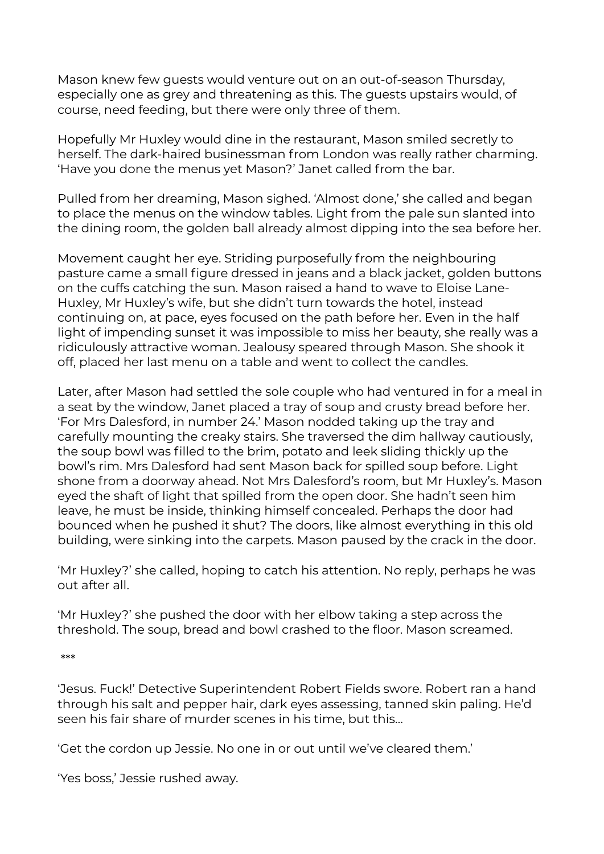Mason knew few guests would venture out on an out-of-season Thursday, especially one as grey and threatening as this. The guests upstairs would, of course, need feeding, but there were only three of them.

Hopefully Mr Huxley would dine in the restaurant, Mason smiled secretly to herself. The dark-haired businessman from London was really rather charming. 'Have you done the menus yet Mason?' Janet called from the bar.

Pulled from her dreaming, Mason sighed. 'Almost done,' she called and began to place the menus on the window tables. Light from the pale sun slanted into the dining room, the golden ball already almost dipping into the sea before her.

Movement caught her eye. Striding purposefully from the neighbouring pasture came a small figure dressed in jeans and a black jacket, golden buttons on the cuffs catching the sun. Mason raised a hand to wave to Eloise Lane-Huxley, Mr Huxley's wife, but she didn't turn towards the hotel, instead continuing on, at pace, eyes focused on the path before her. Even in the half light of impending sunset it was impossible to miss her beauty, she really was a ridiculously attractive woman. Jealousy speared through Mason. She shook it off, placed her last menu on a table and went to collect the candles.

Later, after Mason had settled the sole couple who had ventured in for a meal in a seat by the window, Janet placed a tray of soup and crusty bread before her. 'For Mrs Dalesford, in number 24.' Mason nodded taking up the tray and carefully mounting the creaky stairs. She traversed the dim hallway cautiously, the soup bowl was filled to the brim, potato and leek sliding thickly up the bowl's rim. Mrs Dalesford had sent Mason back for spilled soup before. Light shone from a doorway ahead. Not Mrs Dalesford's room, but Mr Huxley's. Mason eyed the shaft of light that spilled from the open door. She hadn't seen him leave, he must be inside, thinking himself concealed. Perhaps the door had bounced when he pushed it shut? The doors, like almost everything in this old building, were sinking into the carpets. Mason paused by the crack in the door.

'Mr Huxley?' she called, hoping to catch his attention. No reply, perhaps he was out after all.

'Mr Huxley?' she pushed the door with her elbow taking a step across the threshold. The soup, bread and bowl crashed to the floor. Mason screamed.

\*\*\*

'Jesus. Fuck!' Detective Superintendent Robert Fields swore. Robert ran a hand through his salt and pepper hair, dark eyes assessing, tanned skin paling. He'd seen his fair share of murder scenes in his time, but this…

'Get the cordon up Jessie. No one in or out until we've cleared them.'

'Yes boss,' Jessie rushed away.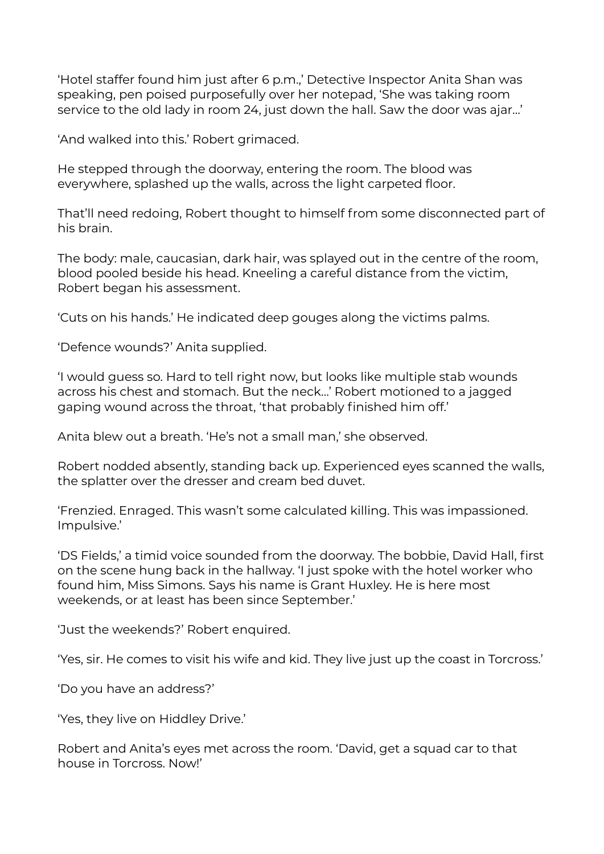'Hotel staffer found him just after 6 p.m.,' Detective Inspector Anita Shan was speaking, pen poised purposefully over her notepad, 'She was taking room service to the old lady in room 24, just down the hall. Saw the door was ajar…'

'And walked into this.' Robert grimaced.

He stepped through the doorway, entering the room. The blood was everywhere, splashed up the walls, across the light carpeted floor.

That'll need redoing, Robert thought to himself from some disconnected part of his brain.

The body: male, caucasian, dark hair, was splayed out in the centre of the room, blood pooled beside his head. Kneeling a careful distance from the victim, Robert began his assessment.

'Cuts on his hands.' He indicated deep gouges along the victims palms.

'Defence wounds?' Anita supplied.

'I would guess so. Hard to tell right now, but looks like multiple stab wounds across his chest and stomach. But the neck…' Robert motioned to a jagged gaping wound across the throat, 'that probably finished him off.'

Anita blew out a breath. 'He's not a small man,' she observed.

Robert nodded absently, standing back up. Experienced eyes scanned the walls, the splatter over the dresser and cream bed duvet.

'Frenzied. Enraged. This wasn't some calculated killing. This was impassioned. Impulsive.'

'DS Fields,' a timid voice sounded from the doorway. The bobbie, David Hall, first on the scene hung back in the hallway. 'I just spoke with the hotel worker who found him, Miss Simons. Says his name is Grant Huxley. He is here most weekends, or at least has been since September.'

'Just the weekends?' Robert enquired.

'Yes, sir. He comes to visit his wife and kid. They live just up the coast in Torcross.'

'Do you have an address?'

'Yes, they live on Hiddley Drive.'

Robert and Anita's eyes met across the room. 'David, get a squad car to that house in Torcross. Now!'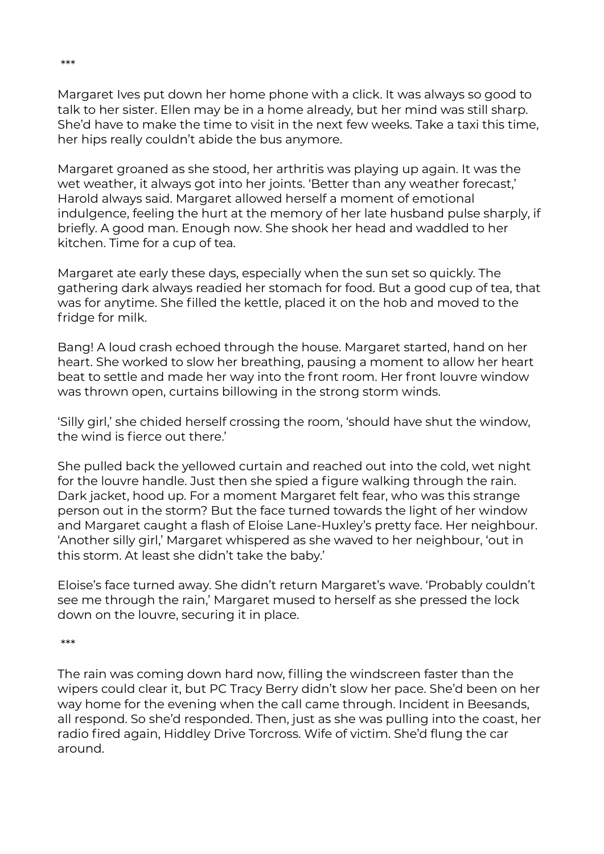Margaret Ives put down her home phone with a click. It was always so good to talk to her sister. Ellen may be in a home already, but her mind was still sharp. She'd have to make the time to visit in the next few weeks. Take a taxi this time, her hips really couldn't abide the bus anymore.

Margaret groaned as she stood, her arthritis was playing up again. It was the wet weather, it always got into her joints. 'Better than any weather forecast,' Harold always said. Margaret allowed herself a moment of emotional indulgence, feeling the hurt at the memory of her late husband pulse sharply, if briefly. A good man. Enough now. She shook her head and waddled to her kitchen. Time for a cup of tea.

Margaret ate early these days, especially when the sun set so quickly. The gathering dark always readied her stomach for food. But a good cup of tea, that was for anytime. She filled the kettle, placed it on the hob and moved to the fridge for milk.

Bang! A loud crash echoed through the house. Margaret started, hand on her heart. She worked to slow her breathing, pausing a moment to allow her heart beat to settle and made her way into the front room. Her front louvre window was thrown open, curtains billowing in the strong storm winds.

'Silly girl,' she chided herself crossing the room, 'should have shut the window, the wind is fierce out there.'

She pulled back the yellowed curtain and reached out into the cold, wet night for the louvre handle. Just then she spied a figure walking through the rain. Dark jacket, hood up. For a moment Margaret felt fear, who was this strange person out in the storm? But the face turned towards the light of her window and Margaret caught a flash of Eloise Lane-Huxley's pretty face. Her neighbour. 'Another silly girl,' Margaret whispered as she waved to her neighbour, 'out in this storm. At least she didn't take the baby.'

Eloise's face turned away. She didn't return Margaret's wave. 'Probably couldn't see me through the rain,' Margaret mused to herself as she pressed the lock down on the louvre, securing it in place.

\*\*\*

The rain was coming down hard now, filling the windscreen faster than the wipers could clear it, but PC Tracy Berry didn't slow her pace. She'd been on her way home for the evening when the call came through. Incident in Beesands, all respond. So she'd responded. Then, just as she was pulling into the coast, her radio fired again, Hiddley Drive Torcross. Wife of victim. She'd flung the car around.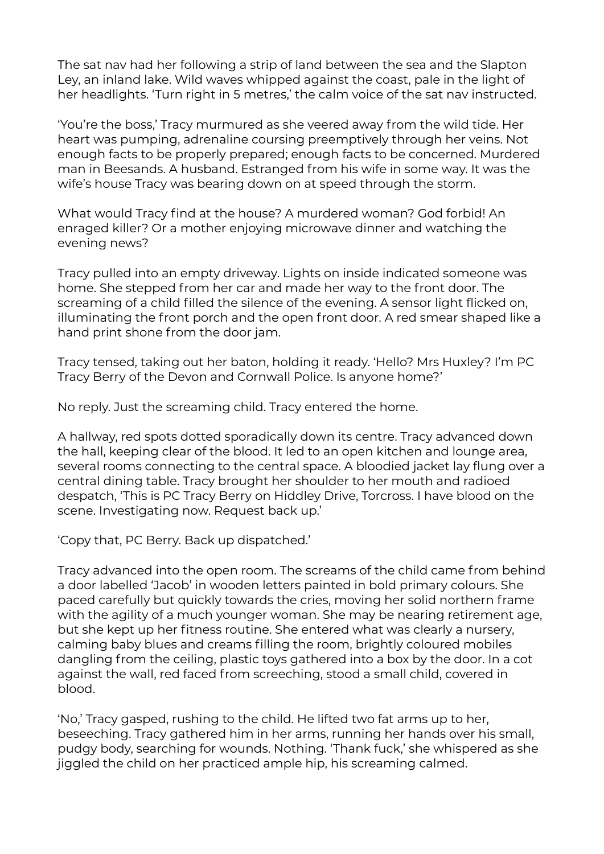The sat nav had her following a strip of land between the sea and the Slapton Ley, an inland lake. Wild waves whipped against the coast, pale in the light of her headlights. 'Turn right in 5 metres,' the calm voice of the sat nav instructed.

'You're the boss,' Tracy murmured as she veered away from the wild tide. Her heart was pumping, adrenaline coursing preemptively through her veins. Not enough facts to be properly prepared; enough facts to be concerned. Murdered man in Beesands. A husband. Estranged from his wife in some way. It was the wife's house Tracy was bearing down on at speed through the storm.

What would Tracy find at the house? A murdered woman? God forbid! An enraged killer? Or a mother enjoying microwave dinner and watching the evening news?

Tracy pulled into an empty driveway. Lights on inside indicated someone was home. She stepped from her car and made her way to the front door. The screaming of a child filled the silence of the evening. A sensor light flicked on, illuminating the front porch and the open front door. A red smear shaped like a hand print shone from the door jam.

Tracy tensed, taking out her baton, holding it ready. 'Hello? Mrs Huxley? I'm PC Tracy Berry of the Devon and Cornwall Police. Is anyone home?'

No reply. Just the screaming child. Tracy entered the home.

A hallway, red spots dotted sporadically down its centre. Tracy advanced down the hall, keeping clear of the blood. It led to an open kitchen and lounge area, several rooms connecting to the central space. A bloodied jacket lay flung over a central dining table. Tracy brought her shoulder to her mouth and radioed despatch, 'This is PC Tracy Berry on Hiddley Drive, Torcross. I have blood on the scene. Investigating now. Request back up.'

'Copy that, PC Berry. Back up dispatched.'

Tracy advanced into the open room. The screams of the child came from behind a door labelled 'Jacob' in wooden letters painted in bold primary colours. She paced carefully but quickly towards the cries, moving her solid northern frame with the agility of a much younger woman. She may be nearing retirement age, but she kept up her fitness routine. She entered what was clearly a nursery, calming baby blues and creams filling the room, brightly coloured mobiles dangling from the ceiling, plastic toys gathered into a box by the door. In a cot against the wall, red faced from screeching, stood a small child, covered in blood.

'No,' Tracy gasped, rushing to the child. He lifted two fat arms up to her, beseeching. Tracy gathered him in her arms, running her hands over his small, pudgy body, searching for wounds. Nothing. 'Thank fuck,' she whispered as she jiggled the child on her practiced ample hip, his screaming calmed.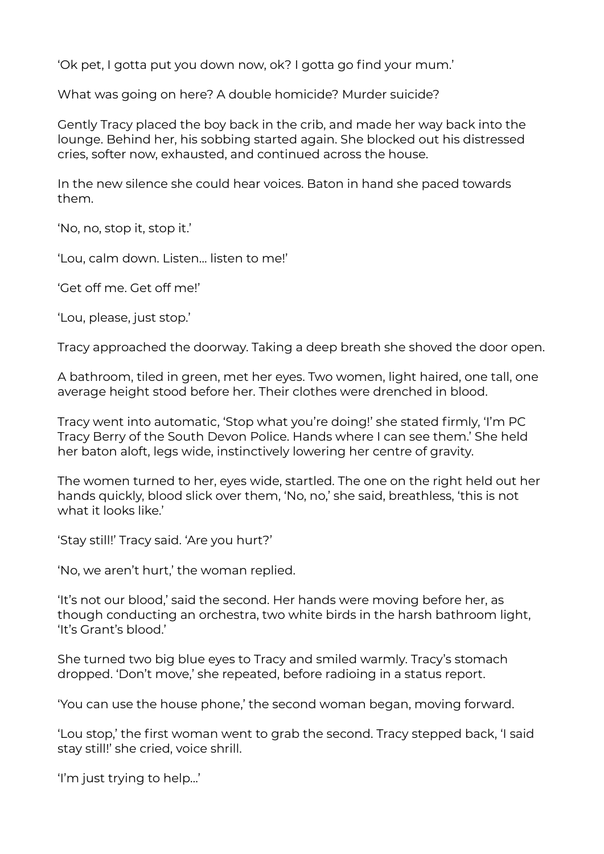'Ok pet, I gotta put you down now, ok? I gotta go find your mum.'

What was going on here? A double homicide? Murder suicide?

Gently Tracy placed the boy back in the crib, and made her way back into the lounge. Behind her, his sobbing started again. She blocked out his distressed cries, softer now, exhausted, and continued across the house.

In the new silence she could hear voices. Baton in hand she paced towards them.

'No, no, stop it, stop it.'

'Lou, calm down. Listen… listen to me!'

'Get off me. Get off me!'

'Lou, please, just stop.'

Tracy approached the doorway. Taking a deep breath she shoved the door open.

A bathroom, tiled in green, met her eyes. Two women, light haired, one tall, one average height stood before her. Their clothes were drenched in blood.

Tracy went into automatic, 'Stop what you're doing!' she stated firmly, 'I'm PC Tracy Berry of the South Devon Police. Hands where I can see them.' She held her baton aloft, legs wide, instinctively lowering her centre of gravity.

The women turned to her, eyes wide, startled. The one on the right held out her hands quickly, blood slick over them, 'No, no,' she said, breathless, 'this is not what it looks like.'

'Stay still!' Tracy said. 'Are you hurt?'

'No, we aren't hurt,' the woman replied.

'It's not our blood,' said the second. Her hands were moving before her, as though conducting an orchestra, two white birds in the harsh bathroom light, 'It's Grant's blood.'

She turned two big blue eyes to Tracy and smiled warmly. Tracy's stomach dropped. 'Don't move,' she repeated, before radioing in a status report.

'You can use the house phone,' the second woman began, moving forward.

'Lou stop,' the first woman went to grab the second. Tracy stepped back, 'I said stay still!' she cried, voice shrill.

'I'm just trying to help…'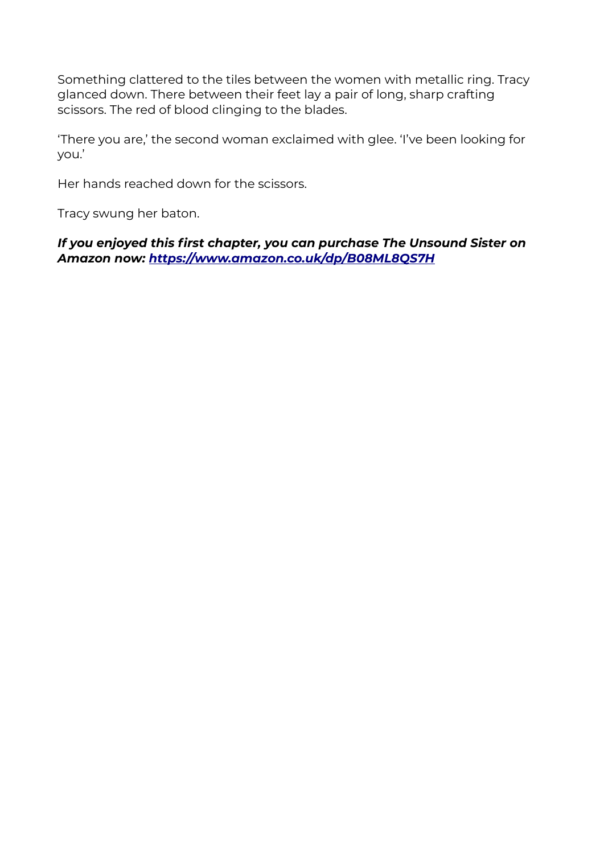Something clattered to the tiles between the women with metallic ring. Tracy glanced down. There between their feet lay a pair of long, sharp crafting scissors. The red of blood clinging to the blades.

'There you are,' the second woman exclaimed with glee. 'I've been looking for you.'

Her hands reached down for the scissors.

Tracy swung her baton.

*If you enjoyed this first chapter, you can purchase The Unsound Sister on Amazon now: <https://www.amazon.co.uk/dp/B08ML8QS7H>*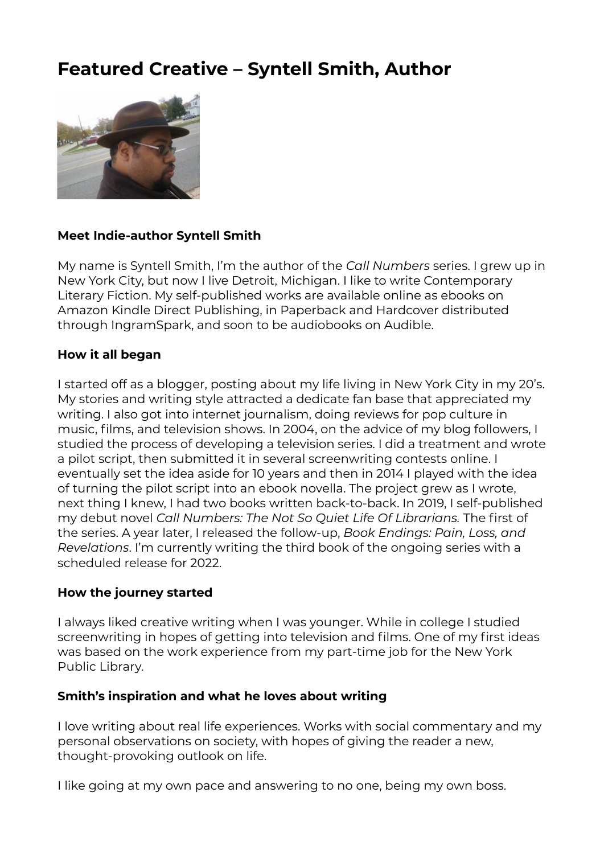# **Featured Creative – Syntell Smith, Author**



#### **Meet Indie-author Syntell Smith**

My name is Syntell Smith, I'm the author of the *Call Numbers* series. I grew up in New York City, but now I live Detroit, Michigan. I like to write Contemporary Literary Fiction. My self-published works are available online as ebooks on Amazon Kindle Direct Publishing, in Paperback and Hardcover distributed through IngramSpark, and soon to be audiobooks on Audible.

#### **How it all began**

I started off as a blogger, posting about my life living in New York City in my 20's. My stories and writing style attracted a dedicate fan base that appreciated my writing. I also got into internet journalism, doing reviews for pop culture in music, films, and television shows. In 2004, on the advice of my blog followers, I studied the process of developing a television series. I did a treatment and wrote a pilot script, then submitted it in several screenwriting contests online. I eventually set the idea aside for 10 years and then in 2014 I played with the idea of turning the pilot script into an ebook novella. The project grew as I wrote, next thing I knew, I had two books written back-to-back. In 2019, I self-published my debut novel *Call Numbers: The Not So Quiet Life Of Librarians.* The first of the series. A year later, I released the follow-up, *Book Endings: Pain, Loss, and Revelations*. I'm currently writing the third book of the ongoing series with a scheduled release for 2022.

#### **How the journey started**

I always liked creative writing when I was younger. While in college I studied screenwriting in hopes of getting into television and films. One of my first ideas was based on the work experience from my part-time job for the New York Public Library.

#### **Smith's inspiration and what he loves about writing**

I love writing about real life experiences. Works with social commentary and my personal observations on society, with hopes of giving the reader a new, thought-provoking outlook on life.

I like going at my own pace and answering to no one, being my own boss.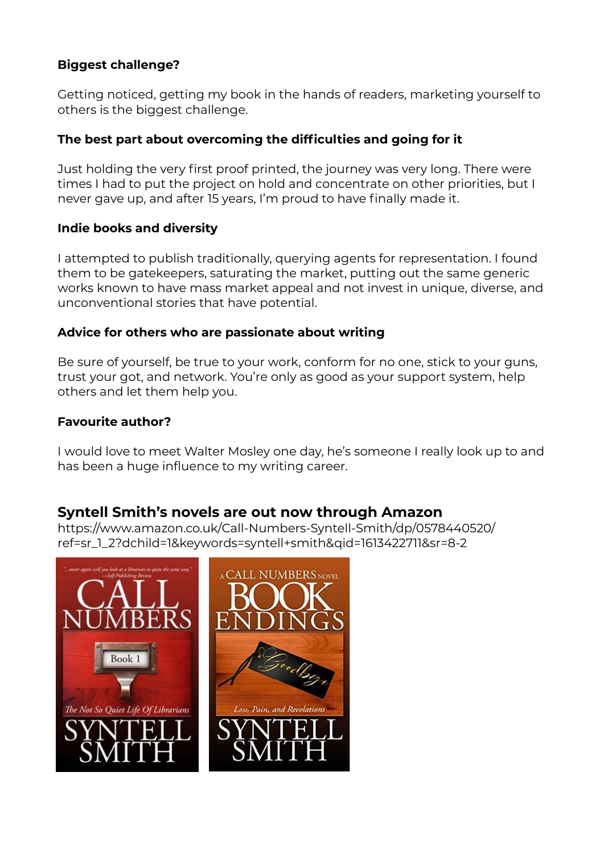#### **Biggest challenge?**

Getting noticed, getting my book in the hands of readers, marketing yourself to others is the biggest challenge.

#### **The best part about overcoming the difficulties and going for it**

Just holding the very first proof printed, the journey was very long. There were times I had to put the project on hold and concentrate on other priorities, but I never gave up, and after 15 years, I'm proud to have finally made it.

#### **Indie books and diversity**

I attempted to publish traditionally, querying agents for representation. I found them to be gatekeepers, saturating the market, putting out the same generic works known to have mass market appeal and not invest in unique, diverse, and unconventional stories that have potential.

#### **Advice for others who are passionate about writing**

Be sure of yourself, be true to your work, conform for no one, stick to your guns, trust your got, and network. You're only as good as your support system, help others and let them help you.

#### **Favourite author?**

I would love to meet Walter Mosley one day, he's someone I really look up to and has been a huge influence to my writing career.

#### **Syntell Smith's novels are out now through Amazon**

https://www.amazon.co.uk/Call-Numbers-Syntell-Smith/dp/0578440520/ ref=sr\_1\_2?dchild=1&keywords=syntell+smith&qid=1613422711&sr=8-2

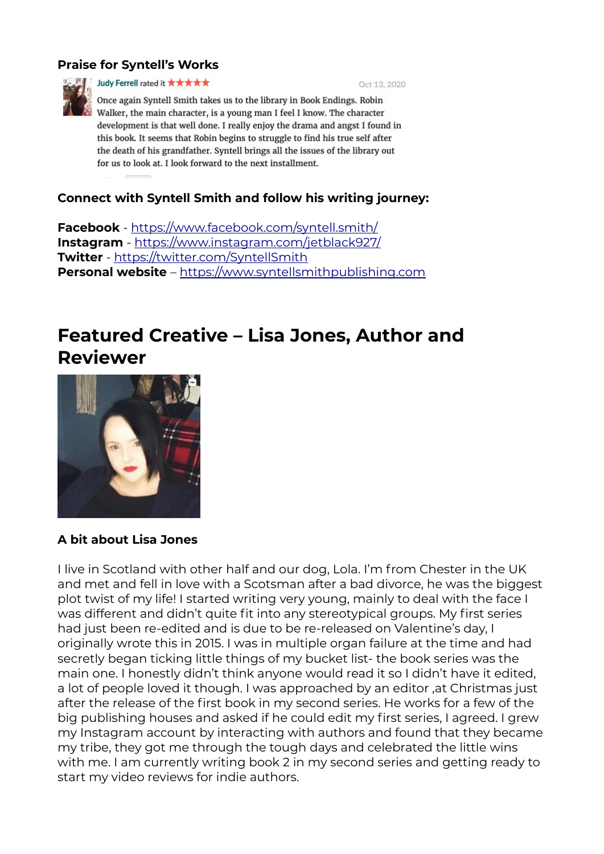#### **Praise for Syntell's Works**



Judy Ferrell rated it \*\*\*\*\*

Oct 13, 2020

Once again Syntell Smith takes us to the library in Book Endings. Robin Walker, the main character, is a young man I feel I know. The character development is that well done. I really enjoy the drama and angst I found in this book. It seems that Robin begins to struggle to find his true self after the death of his grandfather. Syntell brings all the issues of the library out for us to look at. I look forward to the next installment.

#### **Connect with Syntell Smith and follow his writing journey:**

**Facebook** -<https://www.facebook.com/syntell.smith/> **Instagram** -<https://www.instagram.com/jetblack927/> **Twitter** -<https://twitter.com/SyntellSmith> **Personal website** – [https://www.syntellsmithpublishing.com](https://www.syntellsmithpublishing.com/)

## **Featured Creative – Lisa Jones, Author and Reviewer**



#### **A bit about Lisa Jones**

I live in Scotland with other half and our dog, Lola. I'm from Chester in the UK and met and fell in love with a Scotsman after a bad divorce, he was the biggest plot twist of my life! I started writing very young, mainly to deal with the face I was different and didn't quite fit into any stereotypical groups. My first series had just been re-edited and is due to be re-released on Valentine's day. I originally wrote this in 2015. I was in multiple organ failure at the time and had secretly began ticking little things of my bucket list- the book series was the main one. I honestly didn't think anyone would read it so I didn't have it edited, a lot of people loved it though. I was approached by an editor ,at Christmas just after the release of the first book in my second series. He works for a few of the big publishing houses and asked if he could edit my first series, I agreed. I grew my Instagram account by interacting with authors and found that they became my tribe, they got me through the tough days and celebrated the little wins with me. I am currently writing book 2 in my second series and getting ready to start my video reviews for indie authors.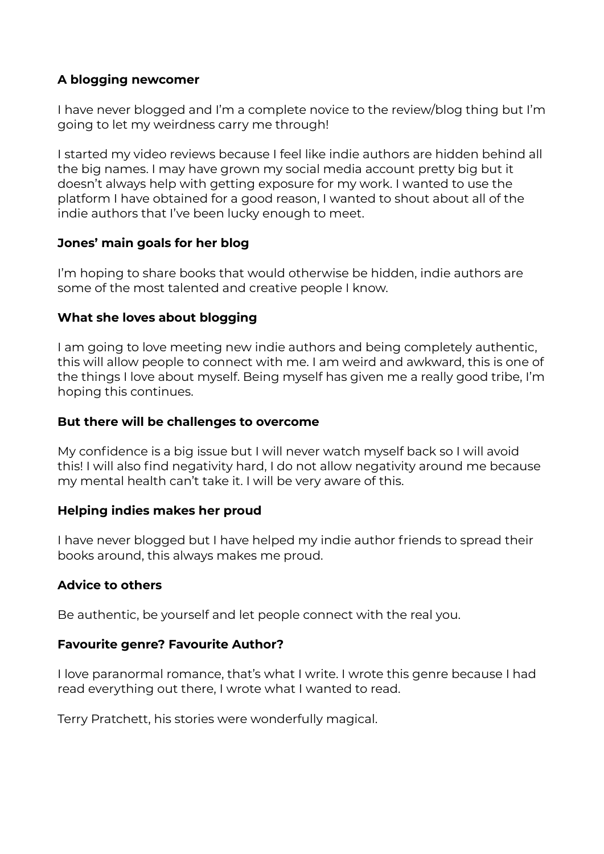#### **A blogging newcomer**

I have never blogged and I'm a complete novice to the review/blog thing but I'm going to let my weirdness carry me through!

I started my video reviews because I feel like indie authors are hidden behind all the big names. I may have grown my social media account pretty big but it doesn't always help with getting exposure for my work. I wanted to use the platform I have obtained for a good reason, I wanted to shout about all of the indie authors that I've been lucky enough to meet.

#### **Jones' main goals for her blog**

I'm hoping to share books that would otherwise be hidden, indie authors are some of the most talented and creative people I know.

#### **What she loves about blogging**

I am going to love meeting new indie authors and being completely authentic, this will allow people to connect with me. I am weird and awkward, this is one of the things I love about myself. Being myself has given me a really good tribe, I'm hoping this continues.

#### **But there will be challenges to overcome**

My confidence is a big issue but I will never watch myself back so I will avoid this! I will also find negativity hard, I do not allow negativity around me because my mental health can't take it. I will be very aware of this.

#### **Helping indies makes her proud**

I have never blogged but I have helped my indie author friends to spread their books around, this always makes me proud.

#### **Advice to others**

Be authentic, be yourself and let people connect with the real you.

#### **Favourite genre? Favourite Author?**

I love paranormal romance, that's what I write. I wrote this genre because I had read everything out there, I wrote what I wanted to read.

Terry Pratchett, his stories were wonderfully magical.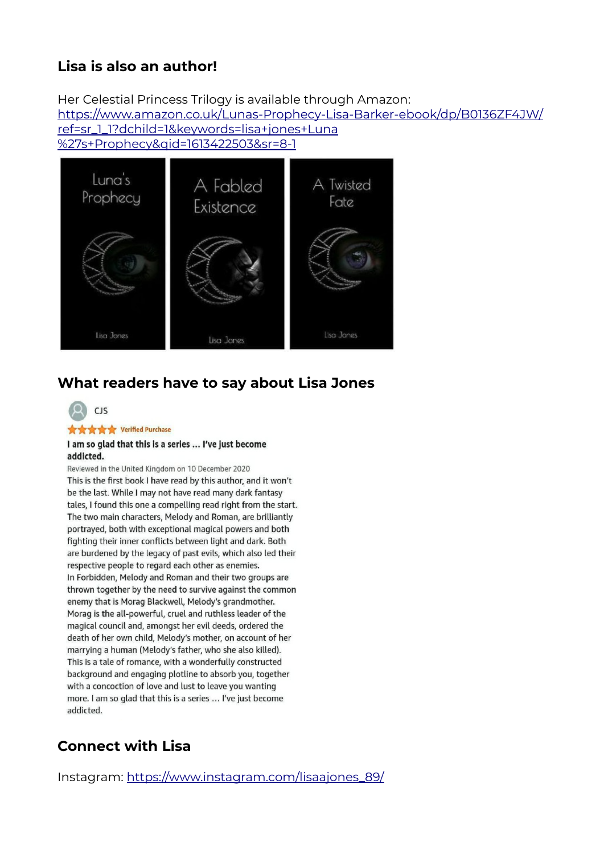## **Lisa is also an author!**

Her Celestial Princess Trilogy is available through Amazon:

[https://www.amazon.co.uk/Lunas-Prophecy-Lisa-Barker-ebook/dp/B0136ZF4JW/](https://www.amazon.co.uk/Lunas-Prophecy-Lisa-Barker-ebook/dp/B0136ZF4JW/ref=sr_1_1?dchild=1&keywords=lisa+jones+Luna) [ref=sr\\_1\\_1?dchild=1&keywords=lisa+jones+Luna](https://www.amazon.co.uk/Lunas-Prophecy-Lisa-Barker-ebook/dp/B0136ZF4JW/ref=sr_1_1?dchild=1&keywords=lisa+jones+Luna)

[%27s+Prophecy&qid=1613422503&sr=8-1](https://www.amazon.co.uk/Lunas-Prophecy-Lisa-Barker-ebook/dp/B0136ZF4JW/ref=sr_1_1?dchild=1&keywords=lisa+jones+Luna)



## **What readers have to say about Lisa Jones**



#### **女女女女** Verified Purchase

#### I am so glad that this is a series ... I've just become addicted.

Reviewed in the United Kingdom on 10 December 2020 This is the first book I have read by this author, and it won't be the last. While I may not have read many dark fantasy tales, I found this one a compelling read right from the start. The two main characters, Melody and Roman, are brilliantly portrayed, both with exceptional magical powers and both fighting their inner conflicts between light and dark. Both are burdened by the legacy of past evils, which also led their respective people to regard each other as enemies. In Forbidden, Melody and Roman and their two groups are thrown together by the need to survive against the common enemy that is Morag Blackwell, Melody's grandmother. Morag is the all-powerful, cruel and ruthless leader of the magical council and, amongst her evil deeds, ordered the death of her own child, Melody's mother, on account of her marrying a human (Melody's father, who she also killed). This is a tale of romance, with a wonderfully constructed background and engaging plotline to absorb you, together with a concoction of love and lust to leave you wanting more. I am so glad that this is a series ... I've just become addicted.

## **Connect with Lisa**

Instagram: [https://www.instagram.com/lisaajones\\_89/](https://www.instagram.com/lisaajones_89/)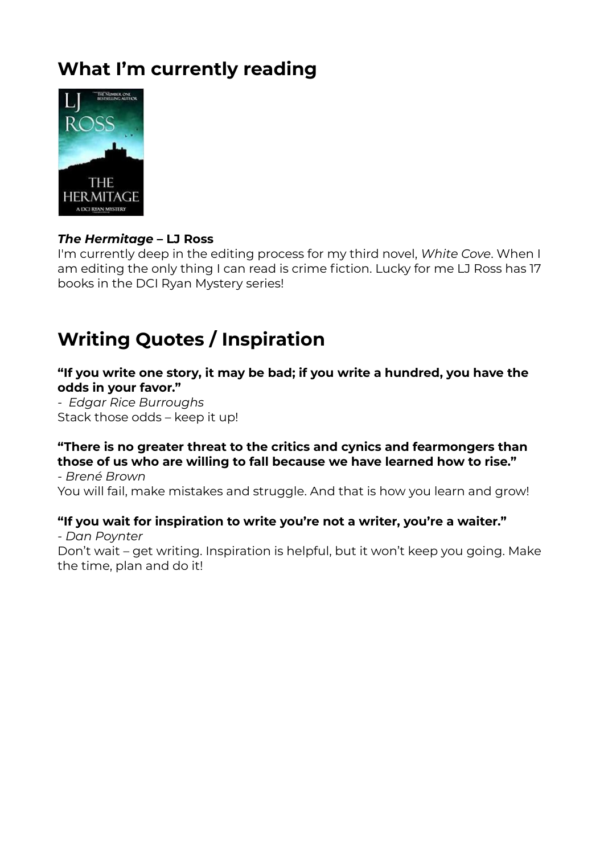# **What I'm currently reading**



#### *The Hermitage* **– LJ Ross**

I'm currently deep in the editing process for my third novel, *White Cove*. When I am editing the only thing I can read is crime fiction. Lucky for me LJ Ross has 17 books in the DCI Ryan Mystery series!

# **Writing Quotes / Inspiration**

**"If you write one story, it may be bad; if you write a hundred, you have the odds in your favor."**

*- Edgar Rice Burroughs* Stack those odds – keep it up!

#### **"There is no greater threat to the critics and cynics and fearmongers than those of us who are willing to fall because we have learned how to rise."**

- *Brené Brown* You will fail, make mistakes and struggle. And that is how you learn and grow!

#### **"If you wait for inspiration to write you're not a writer, you're a waiter."**

*- Dan Poynter* Don't wait – get writing. Inspiration is helpful, but it won't keep you going. Make the time, plan and do it!